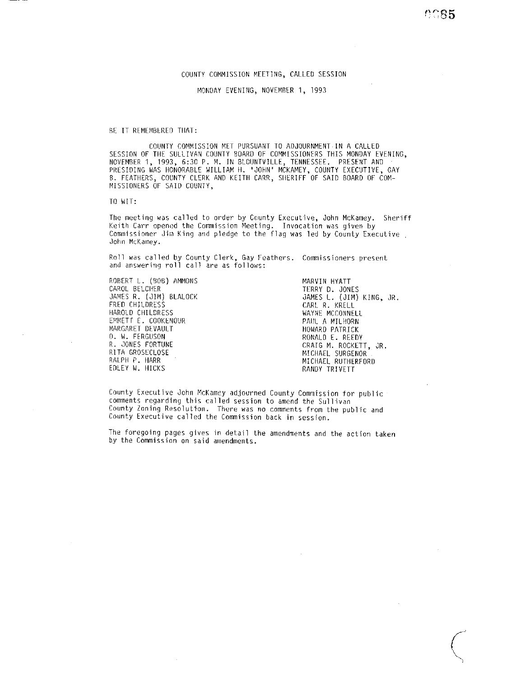### COUNTY COMMISSION MEETING, CALLED SESSION

MONDAY EVENING, NOVEMBER 1, 1993

BE IT REMEMBERED THAT:

COIJNTY COMMISSION MFI PURSUANT TO ADJOURNMENT IN A CALLED SESSION OF THE SULLIVAN COUNTY BOARD OF COMMISSIONERS THIS MONDAY LVENING, NOVEMBER 1, 1993, 6:30 P. M. IN BLOUNTVILLE, TENNESSEE. PRESENT AND PRESIDING WAS HONORABLE WILLIAM H. 'JOHN' MCKAMEY, COUNTY EXECUTIVE, GAY B. FEATIIERS, COUNTY CLCRK AND KEITH CARR, SIIERIFF'OF SAID BOARD OF COM-MISSIONERS OF SAID COUNTY,

TO WIT:

The meeting was called to order by County Executive, John McKamey. Sheriff Keith Carr opened the Commission Meeting. Invocation was given by Commissioner Jim King and pledge to the flag was led by County Executive John McKamey.

Roll was called by County Clerk, Gay Feathers. Commissioners present and answering roll call are as follows:

ROBERT L. (BOB) AMMONS CAROL BELCHER JAMES R. (JIM) BLALOCK FRED CHILDRESS HAROLD CHILDRESS EMMETT E. COOKENOUR MARGARET DEVAULT 0. W. FFRGUSON R. JONES FORTUNE RITA GROSECLOSE RALPH P. HARR EDLEY W. HICKS

MARVIN HYATT TtRRY D. JONES JAMES L. (JIM) KING, JR. CARL R. KRELL WAYNE MCCONNELL PAUL A MILHORN HOWARD PATRICK RONALD E. REEDY CRAIG M. ROCKETT, JR. MICHAEL SURGENOR RANDY TRIVETT

County Executive John McKamey adjourned County Commission for public comments regarding this called session to amend the Sullivan County Zoning Resolution. There was no comments from the public and County Executive called the Commission back in session.

The foregoing pages gives in detail the amendments and the action taken by the Commission on said amendments.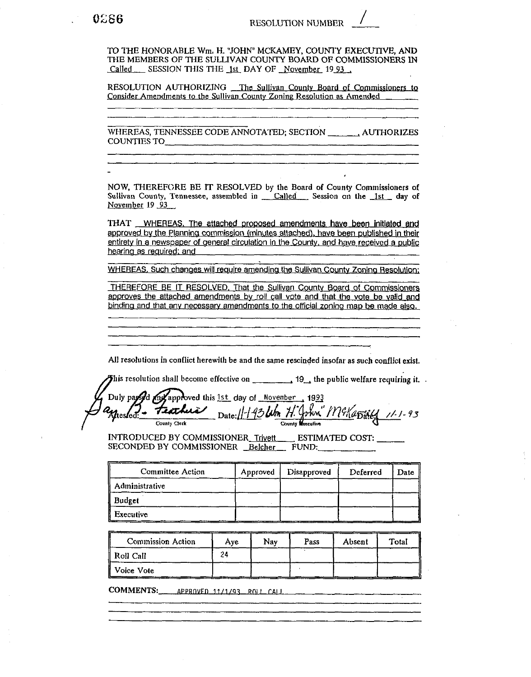TO THE HONORABLE Wm, H, "JOHN" MCKAMEY, COUNTY EXECUTIVE, AND THE MEMBERS OF THE SULLIVAN COUNTY BOARD OF COMMISSIONERS IN Called SESSION THIS THE 1st DAY OF November 19 93.

RESOLUTION AUTHORIZING The Sullivan County Board of Commissioners to Consider Amendments to the Sullivan County Zoning Resolution as Amended

WHEREAS, TENNESSEE CODE ANNOTATED; SECTION AUTHORIZES COUNTIES TO

NOW, THEREFORE BE IT RESOLVED by the Board of County Commissioners of Sullivan County, Tennessee, assembled in Called Session on the 1st day of November 19 93

THAT \_\_ WHEREAS, The attached proposed amendments have been initiated and approved by the Planning commission (minutes attached), have been published in their entirety in a newspaper of general circulation in the County, and have received a public hearing as required; and

WHEREAS, Such changes will require amending the Sullivan County Zoning Resolution;

THEREFORE BE IT RESOLVED. That the Sullivan County Board of Commissioners approves the attached amendments by roll call vote and that the vote be valid and binding and that any necessary amendments to the official zoning map be made also.

All resolutions in conflict herewith be and the same rescinded insofar as such conflict exist.

This resolution shall become effective on  $\qquad \qquad$ , 19, the public welfare requiring it.

Duly paysod my approved this 1st day of November 1993 Date: 1-1-93 leb H. John" Mckapsieg 11-1-93 teachira Uteslect:

INTRODUCED BY COMMISSIONER Trivett ESTIMATED COST: SECONDED BY COMMISSIONER Belcher FUND:

| Committee Action | Approved | Disapproved | Deferred | <b>Date</b> |
|------------------|----------|-------------|----------|-------------|
| Administrative   |          |             |          |             |
| <b>Budget</b>    |          |             |          |             |
| Executive        |          |             |          |             |

| <b>Commission Action</b> | Ave | Nav | Pass | Absent | Total |
|--------------------------|-----|-----|------|--------|-------|
| Roll Call                |     |     |      |        |       |
| Voice Vote               |     |     |      |        |       |

COMMENTS: APPROVED 11/1/93 ROLL CALL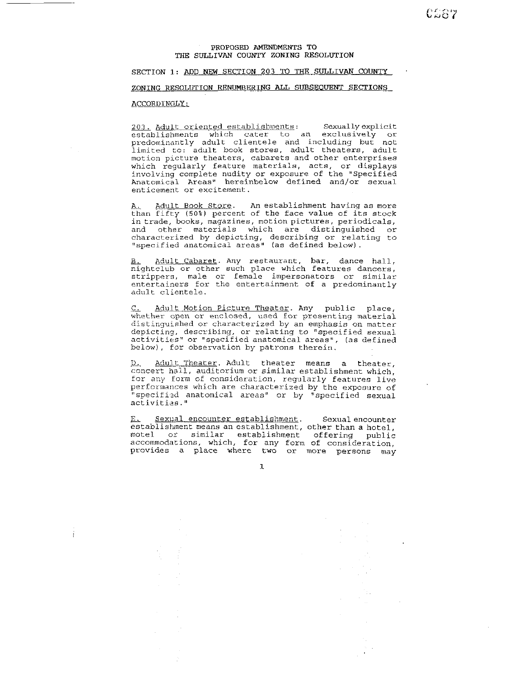CSSウ

# SECTION 1: ADD NEW SECTION 203 TO THE SULLIVAN COUNTY

### ZONING RESOLUTION RENUMBERING ALL SUBSEOUENT SECTIONS

 $\mathbf{I}$ 

-- ACCORDINGLY:<br>203. Adult oriented establishments: Sexually explicit<br>establishments which cater to an exclusively or<br>predominantly adult clientele and including but not limited to: adult book stores, adult theaters, adult motion plcture theaters, cabarets and other enterprises which regularly feature materials, acts, or displays involving complete nudity or exposure of the "Specified Anatomical Areas" hereinbelow defined and/or sexual enticement or excitement.

Anatomical Areas" hereinbelow defined and/or sexual<br>enticement or excitement.<br><u>A. Adult Book Store</u>. An establishment having as more<br>than fifty (50%) percent of the face value of its stock in trade, books, magazines, motion pictures, periodicals, and other materials which are distinguished or characterized by depicting, describing or relating to ',specified anatomical areas" (as defined below).

Adult Cabaret. Any restaurant, bar, dance hall, nightclub or other such place which features dancers, strippers, male or female impersonators or similar entertainers for the entertainment of a predominantly adult clientele.

entertainers for the entertainment of a predominantly<br>adult clientele.<br><u>C. Adult Motion Picture Theater</u>. Any public place,<br>whether open or enclosed, used for presenting material distinguished or characterized by an emphasis on matter depicting, describing, or relating to "specified sexual activities" or "specified anatomical areas", (as defined below), for observation by patrons therein.

D. Adult Theater. Adult theater means a theater, concert hall, auditorium or similar establishment which. concert nail, auditorium or similar establishment which,<br>for any form of consideration, regularly features live<br>performances which are characterized by the exposure of<br>"coodified anatomal and "ni by the fied around" "specified anatomical areas" or by "specified sexual activities."

Sexual encounter establishment. Sexual encounter  $E_{\star}$ establishment means an establishment, other than a hotel, motel or similar establishment offering public accommodations, which, for any form of consideration. provides a place where two or more persons may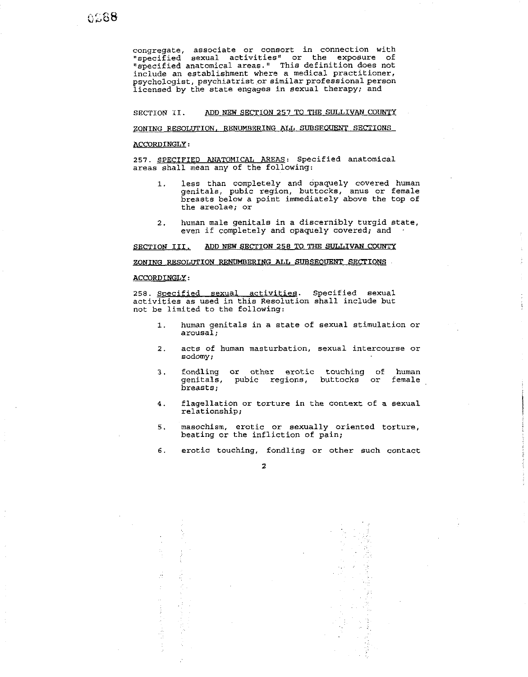congregate, associate or consort in connection with "specified sexual activitiesr' or the exposure of "specified anatomical areas.' This definition does not include an establishment where a medical practitioner, psychologist, psychiatrist or similar professional person licensed by the state engages in sexual therapy; and congregate, associate or connort in connection with<br>"specified accuul activities" or the exposure of<br>"specified accuul activities" or the exposure of<br>the activities accuum interest with explicit interest interest.<br>Deposite

SECTION 11. ADD **NEW** SECTION **257** TO THE SULLIVAN COUNTY

### ZONING RESOLUTION, RENUMBERING ALL SUBSEQUENT SECTIONS

### ACCORDINGLY:

**257.** SPECIFIED ANATOMICAL AREAS: Specified anatomical areas shall mean any of the following:

- **1.** less than completely and opaquely covered human genitals, pubic region, buttocks, anus or female breasts below a point immediately above the top of the areolae; or
- 2. human male genitals in a discernibly turgid state, even if completely and opaquely covered; and

SECTION 111. ADD **NEW** SECTION **258** TO THE SULLIVAN COUNTY

### ACCORDINGLY:

258. Specified sexual activities. Specified sexual activities as used in this Resolution shall include but not be limited to the following:

- 1. human genitals in a state of sexual stimulation or arousal ;
- 2. acts of human masturbation, sexual intercourse or sodomy;
- **3.** fondling or other erotic touching of human genitals, pubic regions, buttocks breasts;
- **4.** flagellation or torture in the context of a sexual relationship;
- 5. masochism, erotic or sexually oriented torture, beating or the infliction of pain;

6. erotic touching, fondling or other such contact

### $\overline{\mathbf{z}}$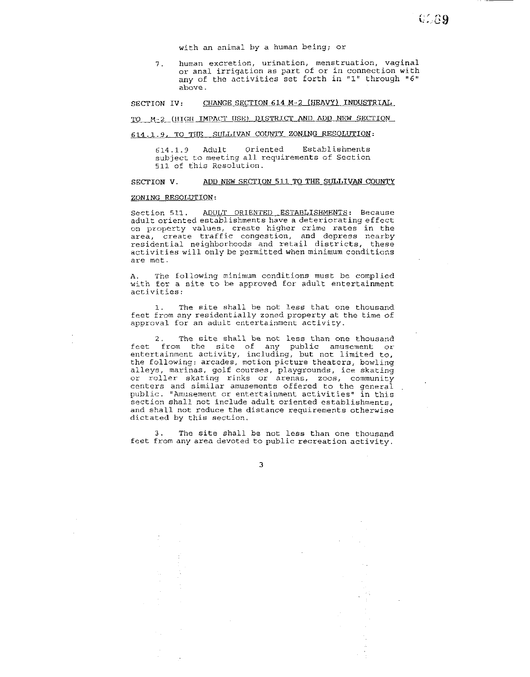with an animal by a human being; or

7. human excretion, urination, menstruation, vaginal or anal irrigation as part of or in connection with any of the activities set forth in "1" through **"6"**  above.

SECTION IV: CHANGE SECTION 614 M-2 (HEAVY) INDUSTRIAL

TO M-2 (HIGH IMPACT USE) DISTRICT AND ADD NEW SECTION

## **614.1.9,** TO **TBI3** SULLIVAN COUNTY ZONING RESOLUTION:

614.1.9 Adult Oriented Establishments subject to meeting all requirements of Section 511 of this Resolution.

### SECTION V. ADD NEW SECTION 511 TO THE SULLIVAN COUNTY

### ZONING RESOLUTION:

Section 511. ADULT ORIENTED ESTABLISHMENTS: Because adult oriented establishments have a deteriorating effect on property values, create higher crime rates in the area, create traffic congestion, and depress nearby residential neighborhoods and retail districts, these activities will only be permitted when minimum conditions are met.

A. The following minimum conditions must be complied with for a site to be approved for adult entertainment activities:

1. The site shall be not less that one thousand feet from any residentially zoned property at the time of approval for an adult entertainment activity.

2. The site shall be not less than one thousand<br>feet from the site of any public amusement or entertainment activity, including, but not limited to, the following: arcades, motion picture theaters, bowling alleys, marinas, golf courses, playgrounds, ice skating or roller skating rinks or arenas, zoos, community centers and similar amusements offered to the general public. "Amusement or entertainment activities" in this section shall not include adult oriented establishments, and shall not reduce the distance requirements otherwise dictated by this section.

The site shall be not less than one thousand feet from any area devoted to public recreation activity.

 $\mathbf{r}$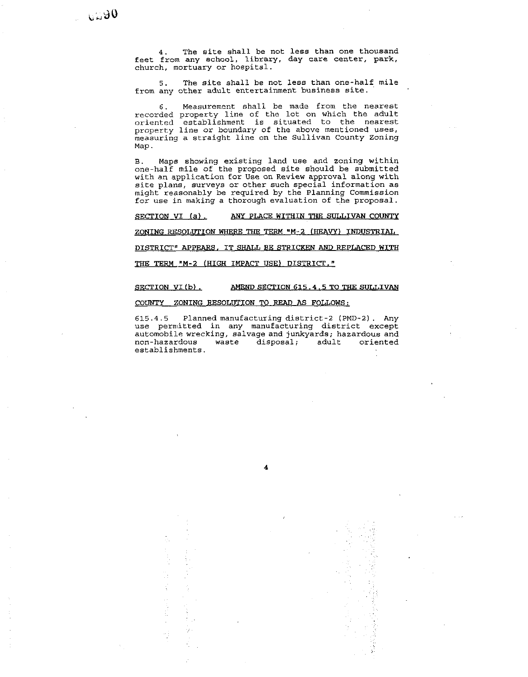**4.** The site shall be not less than one thousand feet from any school, library, day care center, park, church, mortuary or hospital.

**5.** The site shall be not less than one-half mile from any other adult entertainment business site.

**6.** Measurement shall be made from the nearest recorded property line of the lot on which the adult oriented establishment is situated to the nearest property line or boundary of the above mentioned uses, measuring a straight line on the Sullivan County Zoning Map.

B. Maps showing existing land use and zoning within one-half mile of the proposed site should be submitted with an application for Use on Review approval along with site plans, surveys or other such special information as might reasonably be required by the Planning Commission for use in making a thorough evaluation of the proposal.

**SECTION VI** (a), **ANY PLACE WITHIN THE SULLIVAN COUNTY** 

**ZONING RESOLUTION WHERE THE TERM "M-2 (HEAVY) INDUSTRIAL** 

**DISTRICT' APPEARS, IT SHALL BE STRICKEN AND REPLACED WITH** 

THE **TERM "M-2 (HIGH IMPACT USE) DISTRICT."** 

### **SECTION VI (b). AMEND SECTION 615.4.5 TO THE SULLIVAN**

### COUNTY **ZONING RESOLUTION** TO READ **AS FOLLOWS:**

**615.4.5** Planned manufacturing district-2 (PMD-2). Any use permitted in any manufacturing district except automobile wrecking, salvage and junkyards; hazardous and non-hazardous waste disposal; adult oriented disposal; establishments.

4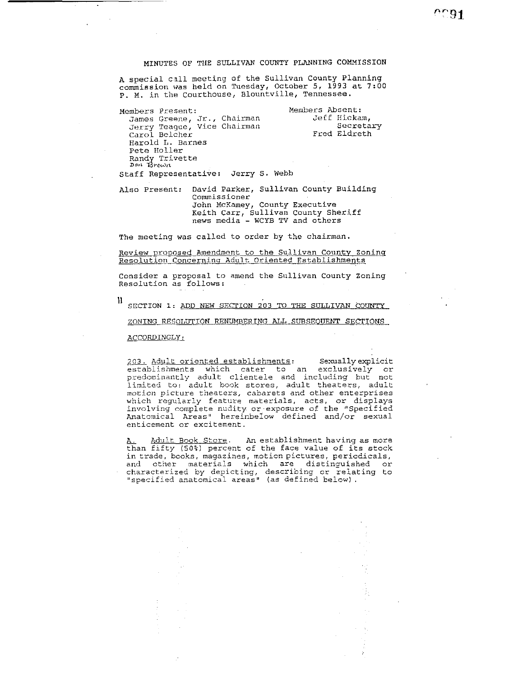# MINUTES OF THE SULLIVAN COUNTY PLANNING COMHISSION

A special call meeting of the Sullivan County Planning commission was held on Tuesday, October 5, 1993 at 7:00 p. M. in the Courthouse, Blountville, Tennessee.

Members Present: Members Absent: James Greene, Jr., Chalrman JeTE Hickam, Jerry Teague, Vice Chairman Secretary Carol Belcher **Fred Eldreth** Harold L. Barnes Pete Holler Randy Trivette<br>*Don Brown* Staff Representative: Jerry S. Webb

Also Present: David Parker, Sullivan County Building Commissioner John McKamey, County Executive Keith Carr, Sullivan County Sheriff news media - WCYB TV and others

The meeting was called to order by the chairman.

Review proposed Amendment to the Sullivan County Zoning Resolution Concerning Adult Oriented Establishments

Consider a proposal to amend the Sullivan County Zoning Resolution as follows:

SECTION 1: ADD NEW SECTION 203 TO THE SULLIVAN COUNTY

ZONING RESOLUTION RENUMBERING ALL SUBSEQUENT SECTIONS

ACCORDINGLY:

203. Adult oriented establishments: Sexually explicit<br>establishments which cater to an exclusively or predominantly adult clientele and including but not limited to: adult book stores, adult theaters, adult motion picture theaters, cabarets and other enterprises which regularly feature materials, acts, or displays involving complete nudity or exposure of the "Specified Anatomical Areas" hereinbeIow defined and/or sexual enticement or excitement.

**A.** P.dult Book Store. An establishment having as more than fifty (502) percent of the face value of its stock in trade, books, magazines, motion pictures, periodicals, and other materials which are distinguished or<br>characterized by depicting, describing or relating to ',specified anatomical areas" (as defined below) .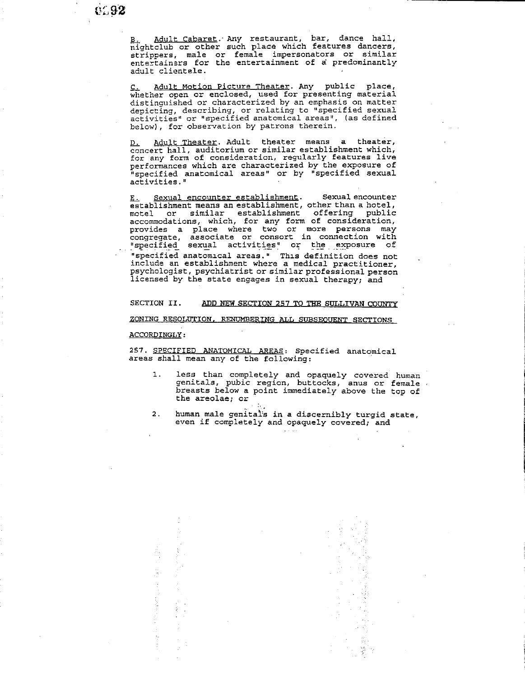Adult Cabaret. Any restaurant, bar, dance hall, nightclub or other such place which features dancers, strippers, male or femaie impersonators or similar entertainsrs for the entertainment of a predominantly adult clientele

<u>C. Adult Motion Picture Theater</u>. Any public place, whether open or enclosed, used for presenting material distinguished or characterized by an emphasis on matter depicting, describing, or relating to "specified sexual activities" or "specified anatomical areas". (as defined below), for observation by patrons therein.

Adult Theater. Adult theater means a theater, D. Adult Theater, Adult theater means a theater,<br>concert hall, auditorium or similar establishment which, for any form of consideration, regularly features live performances which are characterized by the exposure of "specified anatomical areas" or by "specified sexual activities.

**<u>E.</u>** Sexual encounter establishment. Sexual encounter establishment means an establishment, other than a hotel, motel or similar establishment offering public accommodations, which, for any form of consideration, provides a place where two or more persons may congregate, associate or consort in connection with "specified sexual activities" or the exposure of ...<br>"specified sexual activities" or the exposure of ...<br>"specified anatomical areas." This definition does not include an establishment where a medical practitioner, psychologist, psychiatrist or similar professional person licensed by the state engages in sexual therapy; and

### SECTION II. ADD NEW SECTION 257 TO THE SULLIVAN COUNTY

ZONING RESOLUTION. RENUMBERING ALL SWSEOUENT SECTIONS

### ACCORDINGLY:

257. SPECIFIED ANATOMICAL AREAS: Specified anatomical areas shall mean any of the following:

- 1. less than completely and opaquely covered human genitals, pubic region, buttocks, anus or female . breasts below a point immediately above the top of the areolae; or
- 2. human male genitals in a discernibly turgid state, even if completely and opaquely covered; and  $\mathcal{L}^{\text{c}}$  , and  $\mathcal{L}^{\text{c}}$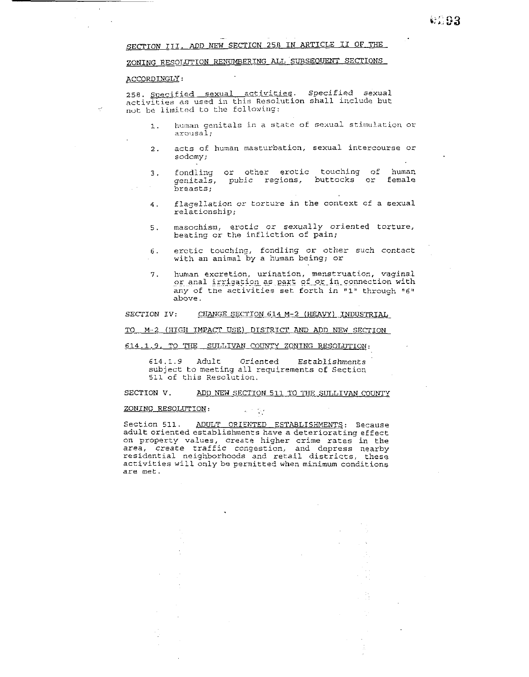SECTION 111. **ADD** NEW SECTION **258** IN ARTICLE I1 OF THE

-

### ZONING RESOLUTION RENUMBERING ALL SUBSEQUENT SECTIONS

### ACCORDINGLY:

258. Specified sexual activities. Specified sexual activities as used in this Resolution shall include but not be limited to the following:

- 1. **human genitals in a state of sexual stimulation or arousal;**
- 2. acts of human masturbation, sexual intercourse or sodomy;
- 3. fondling or other erotic touching of human<br>
cenitals, pubic regions, buttocks or female qenitals, pubic regions, buttocks or breasts;
- 4. flagellation cr torture in the context of a sexual relationship;
- 5. masochism, erotic or sexually oriented torture, beating or the infliction of pain;
- 6. erotic touching, fondling or other such contact with an animal by a human being; or
- 7. human excretion, urination, menstruation, vaginal numan excretion, urination, menstruation, vaginal any of the activities set forth in **"1'** through **"6'f**  above.

### SECTION IV: CHANGE SECTION 614 M-2 (HEAVY) INDUSTRIAL

TO M-2 (HIGH IMPACT USE) DISTRICT AND ADD NEW SECTION

### 614.1.9. TO THE SULLIVAN COUNTY ZONING RESOLUTION:

614.1.9 Adult Oriented Establishments subject to meeting all requirements of Secticn **511** of this Resolutiori.

### SECTION V. ADD NEW SECTION 511 TO THE SULLIVAN COUNTY

#### ZONING RESOLUTION:  $\sigma_{\rm c} \sim 10^4$

Section 511. ADULT ORIENTED ESTABLISHMENTS: Because adult oriented establishments have a deteriorating effect on property values, create higher crime rates in the area, create traffic congestion, and depress nearby residential neighborhoods and retail districts, these activities will only be permitted when minimum conditions are met.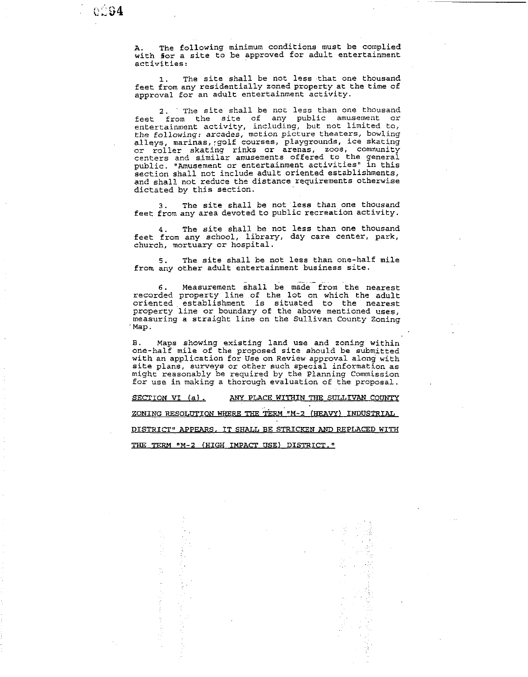A. The following minimum conditions must be complied with for a site to be approved for adult entertainment activities:

1. The site shall be not less that one thousand feet from any residentially zoned property at the time of approval for an adult entertainment activity.

**2.** The site shall be not less than one thousand feet from the site of any public amusement or entertainment activity, including, but not limited to, the following: arcades, motion picture theaters, bowling alleys, marinas,:golf courses, playgrounds, ice skating or roller skating rinks or arenas, zoos, community centers and similar amusements offered to the general public. "Amusement or entertainment activities" in this section shall not include adult oriented establishments, and shall not reduce the distance requirements otherwise dictated by this section.

The site shall be not less than one thousand feet from any area devoted to public recreation activity.

The site shall be not less than one thousand feet from any school, library, day care center, park, church, mortuary or hospital.

**5.** The site shall be not less than one-half mile from any other adult entertainment business site.

- 6. Measurement shall be made from the nearest recorded property line of the lot on which the adult oriented establishment is situated to the nearest property line or boundary of the above mentioned uses, measuring a straight line on the Sullivan County Zoning Map.

**B.** Maps showing existing land use and zoning within one-half mile of the proposed site should be submitted with an application for Use on Review approval along with site plans, surveys or other such special information as might reasonably be required by the Planning Commission for use in making a thorough evaluation of the proposal.

SECTION VI (a). ANY PLACE WITHIN THE SULLIVAN COUNTY

ZONING RESOLUTION WHERE THE TERM "M-2 (HEAVY) INDUSTRIAL

PISTRICT" APPEARS. IT SHALL BE STRICKEN AND REPLACED WITH

*TIIE* TERM **"M-2 (HIGH** IMPACT USE) DISTRICT.'

医血管囊 医血管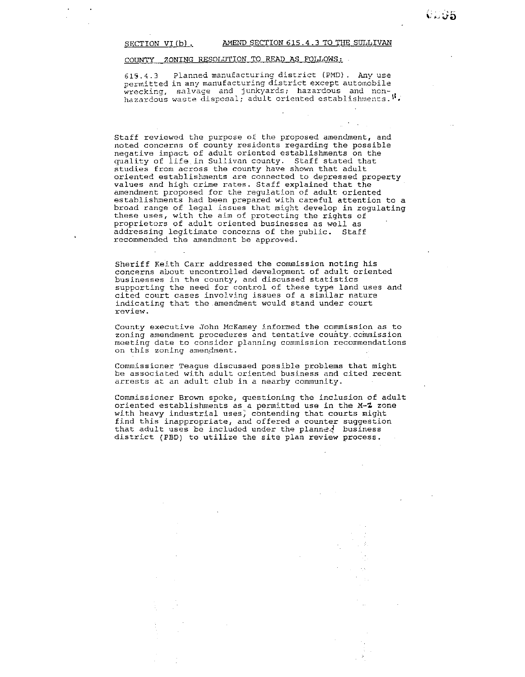### SECTION VI (b) . AMEND SECTION 615.4.3 TO THE SULLIVAN

### COUNTY ZONING RESOLUTION TO READ **AS** FOLLOWS:

615.4.3 Pianned manufacturing district **(PMD)** . Any use permitted in any manufacturing district except automobile hazardous waste disposal; adult oriented establishments. **1**.

Staff reviewed the purpose of the proposed amendment, and noted concerns of county residents regarding the possible negative impact of adult oriented establishments on the quality of life in Sullivan county. Staff stated that studies from across the county have shown that adult oriented establishments are connected to depressed property values and high crime rates. Staff explained that the amendment proposed for the regulation of adult oriented establishments had been prepared with careful attention to a<br>broad range of legal issues that might develop in regulating these uses, with the aim of protecting the rights of proprietors of adult oriented businesses as well as addressing legitimate concerns of the puhlic. Staff recommended the amendment be approved.

Sheriff Keith Carr addressed the commission noting his concerns about uncontrolled development of adult oriented businesses in the county, and discussed statistics supporting the need for control of these type land uses and cited court cases involving issues of a similar nature indicating that the amendment would stand under court review.

County executive John McKamey informed the commission as to zoning amendment procedures and tentative county commission meeting date to consider planning commission recommendations on this zoning amendment.

Commissioner Teague discussed possible problems that might be associated with adult oriented business and cited recent arrests at an adult club in a nearby community.

Commissioner Brown spoke, questioning the inclusion of adult oriented establishments as a permitted use in the M-Z zone with heavy industrial uses, contending that courts might find this inappropriate, and offered a counter suggestion that adult uses be included under the planned business district (PBD) to utilize the site plan review process.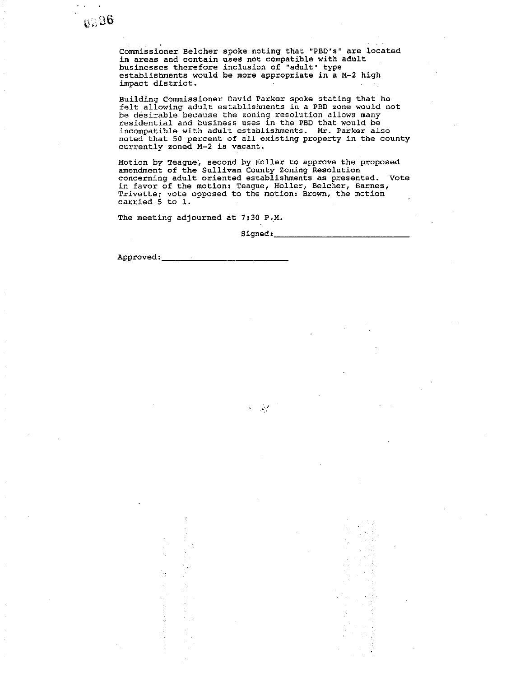Commissioner Belcher spoke noting that "PBD's" are located in areas and contain uses not compatible with adult businesses therefore inclusion of- "adult" type establishments would be more appropriate in a M-2 high impact district.

Building Commissioner David Parker spoke stating that he felt allowing adult establishments in a PBD zone would not be desirable because the zoning resolution allows many residential and business uses in the PBD that would be incompatible with adult establishments. Mr. Parker also noted that 50 percent of all existing property in the county currently zoned M-2 is vacant.

Motion by Teague; second by Holler to approve the proposed amendment of the Sullivan County Zoning Resolution concerning adult oriented establishments as presented. Vote in favor of the motion: Teague, Holler, Belcher, Barnes, Trivette; vote opposed to the motion: Brown, the motion  $\mathtt{carried}$  5 to 1.  $\vdots$ 

The meeting adjourned at **7:30** P.M.

 $0.96$ 

Signed:

 $\mathcal{L}^{\text{max}}$ 

Approved:\_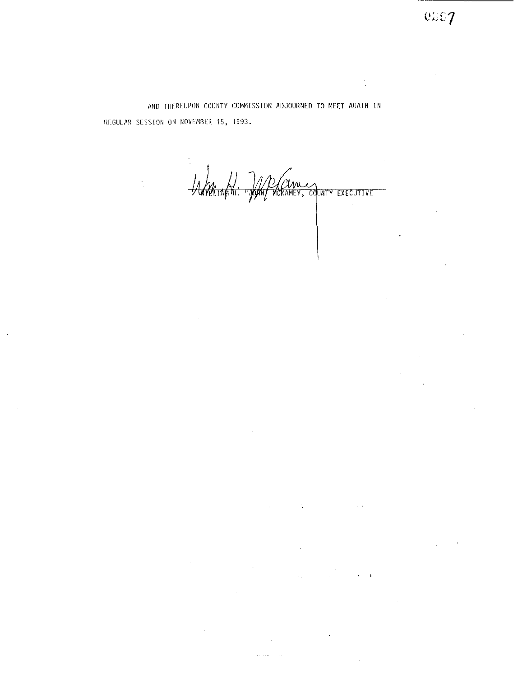AND THEREUPON COUNTY COMMISSION ADJOURNED TO MEET AGAIN IN REGULAR SESSION ON NOVEMBER 15, 1993.

Anteraption de Currez

 $\mathbb{R}^d \times \mathbb{R}^d \times \mathcal{A}$ 

 $\sim 10^{11}$  km  $^{-1}$